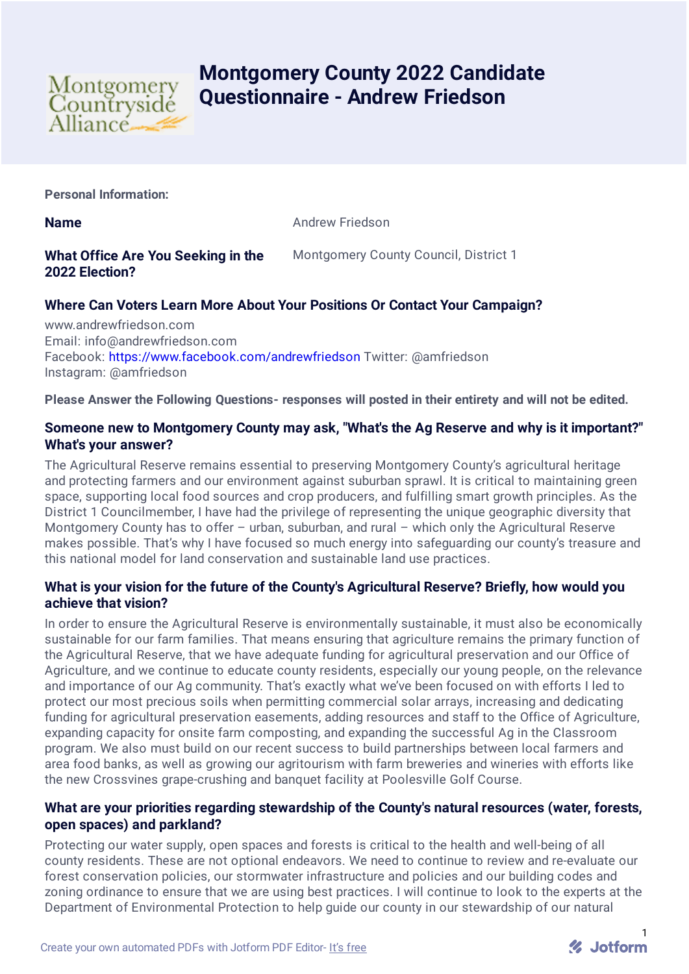

# **Montgomery County 2022 Candidate Questionnaire - Andrew Friedson**

**Personal Information:**

**Name** Andrew Friedson

# **What Office Are You Seeking in the 2022 Election?**

Montgomery County Council, District 1

# **Where Can Voters Learn More About Your Positions Or Contact Your Campaign?**

www.andrewfriedson.com Email: info@andrewfriedson.com Facebook: <https://www.facebook.com/andrewfriedson> Twitter: @amfriedson Instagram: @amfriedson

**Please Answer the Following Questions- responses will posted in their entirety and will not be edited.**

## **Someone new to Montgomery County may ask, "What's the Ag Reserve and why is it important?" What's your answer?**

The Agricultural Reserve remains essential to preserving Montgomery County's agricultural heritage and protecting farmers and our environment against suburban sprawl. It is critical to maintaining green space, supporting local food sources and crop producers, and fulfilling smart growth principles. As the District 1 Councilmember, I have had the privilege of representing the unique geographic diversity that Montgomery County has to offer – urban, suburban, and rural – which only the Agricultural Reserve makes possible. That's why I have focused so much energy into safeguarding our county's treasure and this national model for land conservation and sustainable land use practices.

# **What is your vision for the future of the County's Agricultural Reserve? Briefly, how would you achieve that vision?**

In order to ensure the Agricultural Reserve is environmentally sustainable, it must also be economically sustainable for our farm families. That means ensuring that agriculture remains the primary function of the Agricultural Reserve, that we have adequate funding for agricultural preservation and our Office of Agriculture, and we continue to educate county residents, especially our young people, on the relevance and importance of our Ag community. That's exactly what we've been focused on with efforts I led to protect our most precious soils when permitting commercial solar arrays, increasing and dedicating funding for agricultural preservation easements, adding resources and staff to the Office of Agriculture, expanding capacity for onsite farm composting, and expanding the successful Ag in the Classroom program. We also must build on our recent success to build partnerships between local farmers and area food banks, as well as growing our agritourism with farm breweries and wineries with efforts like the new Crossvines grape-crushing and banquet facility at Poolesville Golf Course.

#### **What are your priorities regarding stewardship of the County's natural resources (water, forests, open spaces) and parkland?**

Protecting our water supply, open spaces and forests is critical to the health and well-being of all county residents. These are not optional endeavors. We need to continue to review and re-evaluate our forest conservation policies, our stormwater infrastructure and policies and our building codes and zoning ordinance to ensure that we are using best practices. I will continue to look to the experts at the Department of Environmental Protection to help guide our county in our stewardship of our natural

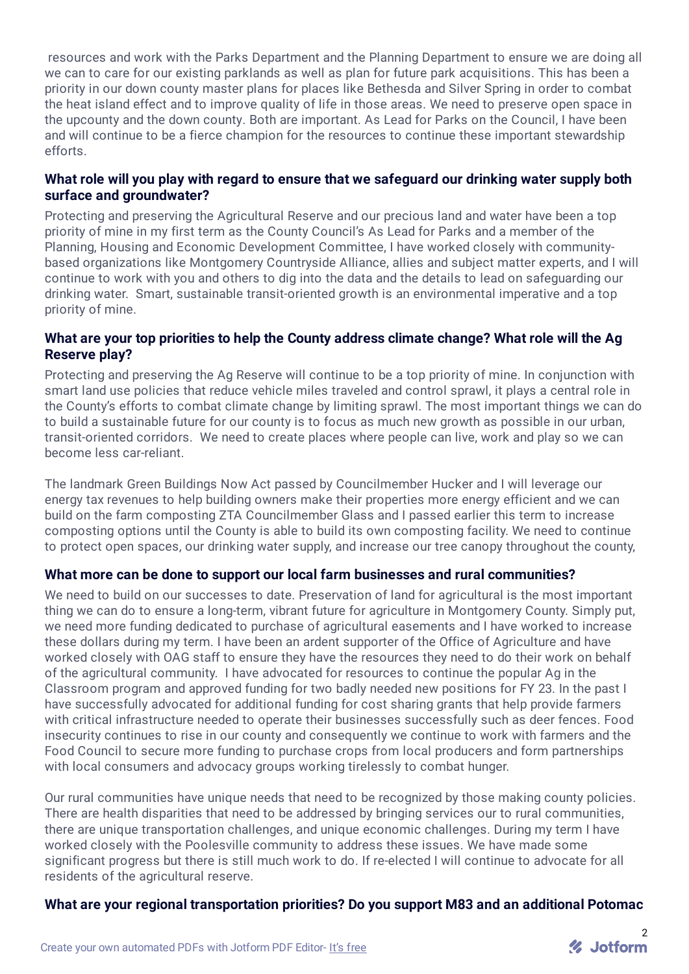resources and work with the Parks Department and the Planning Department to ensure we are doing all we can to care for our existing parklands as well as plan for future park acquisitions. This has been a priority in our down county master plans for places like Bethesda and Silver Spring in order to combat the heat island effect and to improve quality of life in those areas. We need to preserve open space in the upcounty and the down county. Both are important. As Lead for Parks on the Council, I have been and will continue to be a fierce champion for the resources to continue these important stewardship efforts.

## **What role will you play with regard to ensure that we safeguard our drinking water supply both surface and groundwater?**

Protecting and preserving the Agricultural Reserve and our precious land and water have been a top priority of mine in my first term as the County Council's As Lead for Parks and a member of the Planning, Housing and Economic Development Committee, I have worked closely with communitybased organizations like Montgomery Countryside Alliance, allies and subject matter experts, and I will continue to work with you and others to dig into the data and the details to lead on safeguarding our drinking water. Smart, sustainable transit-oriented growth is an environmental imperative and a top priority of mine.

## **What are your top priorities to help the County address climate change? What role will the Ag Reserve play?**

Protecting and preserving the Ag Reserve will continue to be a top priority of mine. In conjunction with smart land use policies that reduce vehicle miles traveled and control sprawl, it plays a central role in the County's efforts to combat climate change by limiting sprawl. The most important things we can do to build a sustainable future for our county is to focus as much new growth as possible in our urban, transit-oriented corridors. We need to create places where people can live, work and play so we can become less car-reliant.

The landmark Green Buildings Now Act passed by Councilmember Hucker and I will leverage our energy tax revenues to help building owners make their properties more energy efficient and we can build on the farm composting ZTA Councilmember Glass and I passed earlier this term to increase composting options until the County is able to build its own composting facility. We need to continue to protect open spaces, our drinking water supply, and increase our tree canopy throughout the county,

#### **What more can be done to support our local farm businesses and rural communities?**

We need to build on our successes to date. Preservation of land for agricultural is the most important thing we can do to ensure a long-term, vibrant future for agriculture in Montgomery County. Simply put, we need more funding dedicated to purchase of agricultural easements and I have worked to increase these dollars during my term. I have been an ardent supporter of the Office of Agriculture and have worked closely with OAG staff to ensure they have the resources they need to do their work on behalf of the agricultural community. I have advocated for resources to continue the popular Ag in the Classroom program and approved funding for two badly needed new positions for FY 23. In the past I have successfully advocated for additional funding for cost sharing grants that help provide farmers with critical infrastructure needed to operate their businesses successfully such as deer fences. Food insecurity continues to rise in our county and consequently we continue to work with farmers and the Food Council to secure more funding to purchase crops from local producers and form partnerships with local consumers and advocacy groups working tirelessly to combat hunger.

Our rural communities have unique needs that need to be recognized by those making county policies. There are health disparities that need to be addressed by bringing services our to rural communities, there are unique transportation challenges, and unique economic challenges. During my term I have worked closely with the Poolesville community to address these issues. We have made some significant progress but there is still much work to do. If re-elected I will continue to advocate for all residents of the agricultural reserve.

# **What are your regional transportation priorities? Do you support M83 and an additional Potomac**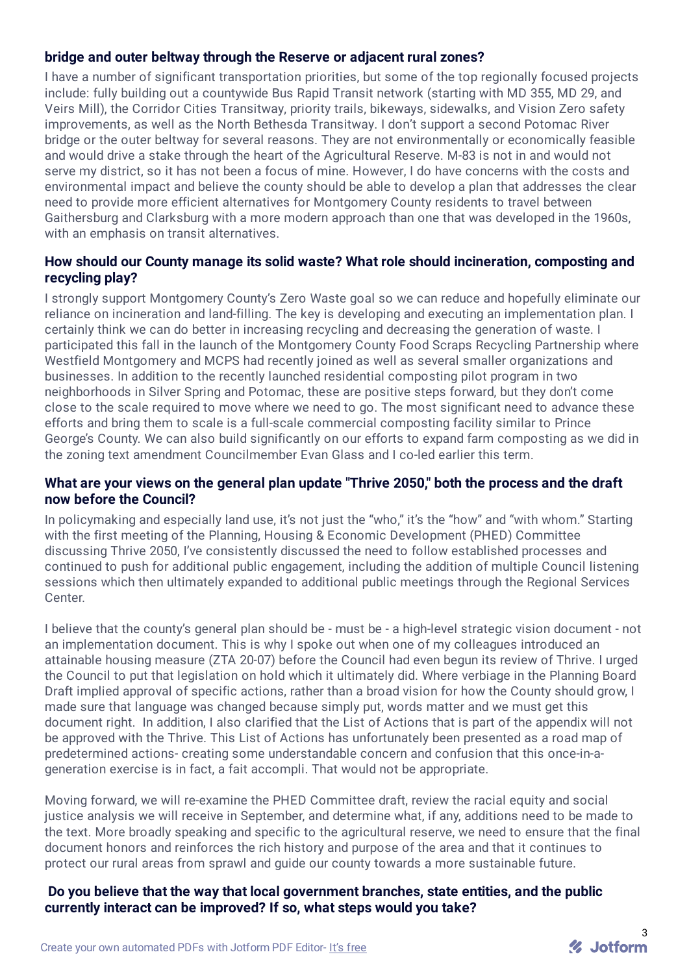# **bridge and outer beltway through the Reserve or adjacent rural zones?**

I have a number of significant transportation priorities, but some of the top regionally focused projects include: fully building out a countywide Bus Rapid Transit network (starting with MD 355, MD 29, and Veirs Mill), the Corridor Cities Transitway, priority trails, bikeways, sidewalks, and Vision Zero safety improvements, as well as the North Bethesda Transitway. I don't support a second Potomac River bridge or the outer beltway for several reasons. They are not environmentally or economically feasible and would drive a stake through the heart of the Agricultural Reserve. M-83 is not in and would not serve my district, so it has not been a focus of mine. However, I do have concerns with the costs and environmental impact and believe the county should be able to develop a plan that addresses the clear need to provide more efficient alternatives for Montgomery County residents to travel between Gaithersburg and Clarksburg with a more modern approach than one that was developed in the 1960s, with an emphasis on transit alternatives.

# **How should our County manage its solid waste? What role should incineration, composting and recycling play?**

I strongly support Montgomery County's Zero Waste goal so we can reduce and hopefully eliminate our reliance on incineration and land-filling. The key is developing and executing an implementation plan. I certainly think we can do better in increasing recycling and decreasing the generation of waste. I participated this fall in the launch of the Montgomery County Food Scraps Recycling Partnership where Westfield Montgomery and MCPS had recently joined as well as several smaller organizations and businesses. In addition to the recently launched residential composting pilot program in two neighborhoods in Silver Spring and Potomac, these are positive steps forward, but they don't come close to the scale required to move where we need to go. The most significant need to advance these efforts and bring them to scale is a full-scale commercial composting facility similar to Prince George's County. We can also build significantly on our efforts to expand farm composting as we did in the zoning text amendment Councilmember Evan Glass and I co-led earlier this term.

#### **What are your views on the general plan update "Thrive 2050," both the process and the draft now before the Council?**

In policymaking and especially land use, it's not just the "who," it's the "how" and "with whom." Starting with the first meeting of the Planning, Housing & Economic Development (PHED) Committee discussing Thrive 2050, I've consistently discussed the need to follow established processes and continued to push for additional public engagement, including the addition of multiple Council listening sessions which then ultimately expanded to additional public meetings through the Regional Services Center.

I believe that the county's general plan should be - must be - a high-level strategic vision document - not an implementation document. This is why I spoke out when one of my colleagues introduced an attainable housing measure (ZTA 20-07) before the Council had even begun its review of Thrive. I urged the Council to put that legislation on hold which it ultimately did. Where verbiage in the Planning Board Draft implied approval of specific actions, rather than a broad vision for how the County should grow, I made sure that language was changed because simply put, words matter and we must get this document right. In addition, I also clarified that the List of Actions that is part of the appendix will not be approved with the Thrive. This List of Actions has unfortunately been presented as a road map of predetermined actions- creating some understandable concern and confusion that this once-in-ageneration exercise is in fact, a fait accompli. That would not be appropriate.

Moving forward, we will re-examine the PHED Committee draft, review the racial equity and social justice analysis we will receive in September, and determine what, if any, additions need to be made to the text. More broadly speaking and specific to the agricultural reserve, we need to ensure that the final document honors and reinforces the rich history and purpose of the area and that it continues to protect our rural areas from sprawl and guide our county towards a more sustainable future.

#### **Do you believe that the way that local government branches, state entities, and the public currently interact can be improved? If so, what steps would you take?**